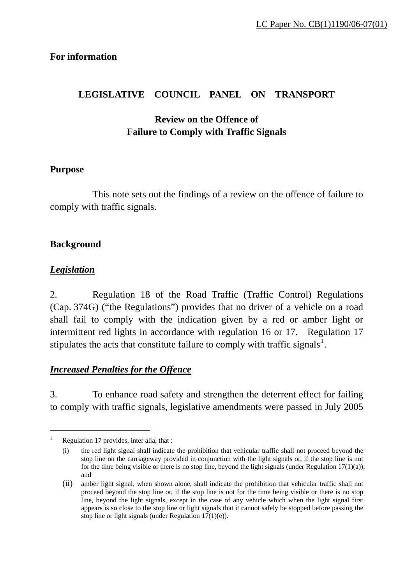## **For information**

# **LEGISLATIVE COUNCIL PANEL ON TRANSPORT**

# **Review on the Offence of Failure to Comply with Traffic Signals**

#### **Purpose**

 This note sets out the findings of a review on the offence of failure to comply with traffic signals.

## **Background**

## <sup>U</sup>*Legislation*

 $\overline{a}$ 

2. Regulation 18 of the Road Traffic (Traffic Control) Regulations (Cap. 374G) ("the Regulations") provides that no driver of a vehicle on a road shall fail to comply with the indication given by a red or amber light or intermittent red lights in accordance with regulation 16 or 17. Regulation 17 stipulates the acts that constitute failure to comply with traffic signals<sup>1</sup>.

## <sup>U</sup>*Increased Penalties for the Offence*

3. To enhance road safety and strengthen the deterrent effect for failing to comply with traffic signals, legislative amendments were passed in July 2005

<sup>1</sup> Regulation 17 provides, inter alia, that :

<sup>(</sup>i) the red light signal shall indicate the prohibition that vehicular traffic shall not proceed beyond the stop line on the carriageway provided in conjunction with the light signals or, if the stop line is not for the time being visible or there is no stop line, beyond the light signals (under Regulation  $17(1)(a)$ ); and

<sup>(</sup>ii) amber light signal, when shown alone, shall indicate the prohibition that vehicular traffic shall not proceed beyond the stop line or, if the stop line is not for the time being visible or there is no stop line, beyond the light signals, except in the case of any vehicle which when the light signal first appears is so close to the stop line or light signals that it cannot safely be stopped before passing the stop line or light signals (under Regulation  $17(1)(e)$ ).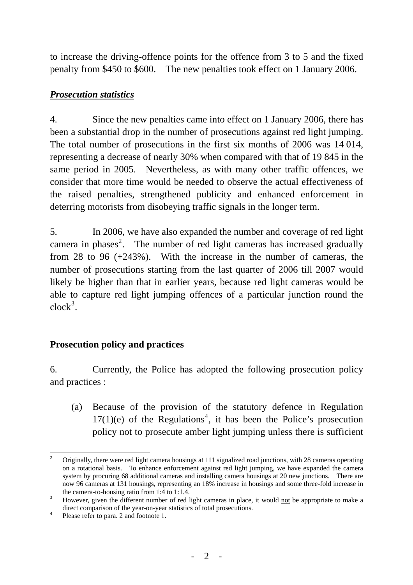to increase the driving-offence points for the offence from 3 to 5 and the fixed penalty from \$450 to \$600. The new penalties took effect on 1 January 2006.

# <sup>U</sup>*Prosecution statistics*

4. Since the new penalties came into effect on 1 January 2006, there has been a substantial drop in the number of prosecutions against red light jumping. The total number of prosecutions in the first six months of 2006 was 14 014, representing a decrease of nearly 30% when compared with that of 19 845 in the same period in 2005. Nevertheless, as with many other traffic offences, we consider that more time would be needed to observe the actual effectiveness of the raised penalties, strengthened publicity and enhanced enforcement in deterring motorists from disobeying traffic signals in the longer term.

5. In 2006, we have also expanded the number and coverage of red light camera in phases<sup>2</sup>. The number of red light cameras has increased gradually from 28 to 96 (+243%). With the increase in the number of cameras, the number of prosecutions starting from the last quarter of 2006 till 2007 would likely be higher than that in earlier years, because red light cameras would be able to capture red light jumping offences of a particular junction round the  $clock^3$ .

# **Prosecution policy and practices**

6. Currently, the Police has adopted the following prosecution policy and practices :

 (a) Because of the provision of the statutory defence in Regulation  $17(1)(e)$  of the Regulations<sup>4</sup>, it has been the Police's prosecution policy not to prosecute amber light jumping unless there is sufficient

 $\overline{a}$ 2 Originally, there were red light camera housings at 111 signalized road junctions, with 28 cameras operating on a rotational basis. To enhance enforcement against red light jumping, we have expanded the camera system by procuring 68 additional cameras and installing camera housings at 20 new junctions. There are now 96 cameras at 131 housings, representing an 18% increase in housings and some three-fold increase in the camera-to-housing ratio from 1:4 to 1:1.4.

<sup>3</sup> However, given the different number of red light cameras in place, it would not be appropriate to make a direct comparison of the year-on-year statistics of total prosecutions.

<sup>4</sup> Please refer to para. 2 and footnote 1.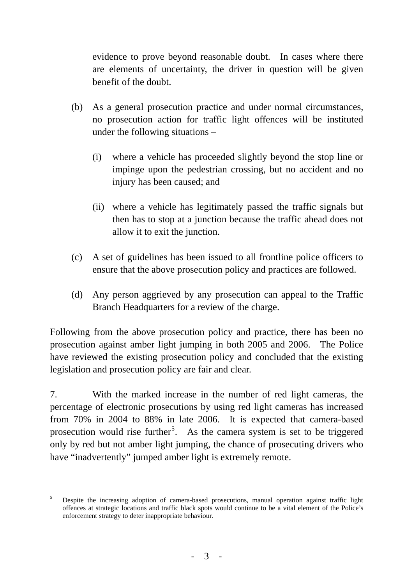evidence to prove beyond reasonable doubt. In cases where there are elements of uncertainty, the driver in question will be given benefit of the doubt.

- (b) As a general prosecution practice and under normal circumstances, no prosecution action for traffic light offences will be instituted under the following situations –
	- (i) where a vehicle has proceeded slightly beyond the stop line or impinge upon the pedestrian crossing, but no accident and no injury has been caused; and
	- (ii) where a vehicle has legitimately passed the traffic signals but then has to stop at a junction because the traffic ahead does not allow it to exit the junction.
- (c) A set of guidelines has been issued to all frontline police officers to ensure that the above prosecution policy and practices are followed.
- (d) Any person aggrieved by any prosecution can appeal to the Traffic Branch Headquarters for a review of the charge.

Following from the above prosecution policy and practice, there has been no prosecution against amber light jumping in both 2005 and 2006. The Police have reviewed the existing prosecution policy and concluded that the existing legislation and prosecution policy are fair and clear.

7. With the marked increase in the number of red light cameras, the percentage of electronic prosecutions by using red light cameras has increased from 70% in 2004 to 88% in late 2006. It is expected that camera-based prosecution would rise further<sup>5</sup>. As the camera system is set to be triggered only by red but not amber light jumping, the chance of prosecuting drivers who have "inadvertently" jumped amber light is extremely remote.

 5 Despite the increasing adoption of camera-based prosecutions, manual operation against traffic light offences at strategic locations and traffic black spots would continue to be a vital element of the Police's enforcement strategy to deter inappropriate behaviour.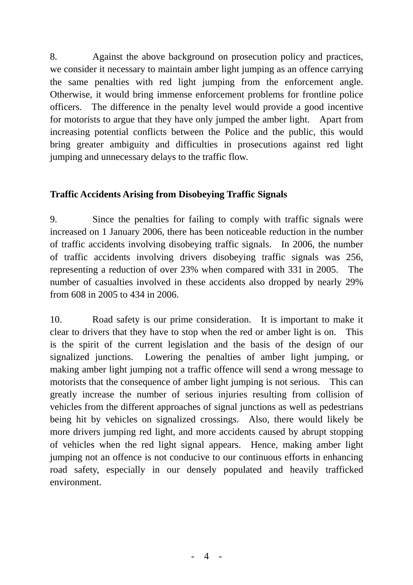8. Against the above background on prosecution policy and practices, we consider it necessary to maintain amber light jumping as an offence carrying the same penalties with red light jumping from the enforcement angle. Otherwise, it would bring immense enforcement problems for frontline police officers. The difference in the penalty level would provide a good incentive for motorists to argue that they have only jumped the amber light. Apart from increasing potential conflicts between the Police and the public, this would bring greater ambiguity and difficulties in prosecutions against red light jumping and unnecessary delays to the traffic flow.

## **Traffic Accidents Arising from Disobeying Traffic Signals**

9. Since the penalties for failing to comply with traffic signals were increased on 1 January 2006, there has been noticeable reduction in the number of traffic accidents involving disobeying traffic signals. In 2006, the number of traffic accidents involving drivers disobeying traffic signals was 256, representing a reduction of over 23% when compared with 331 in 2005. The number of casualties involved in these accidents also dropped by nearly 29% from 608 in 2005 to 434 in 2006.

10. Road safety is our prime consideration. It is important to make it clear to drivers that they have to stop when the red or amber light is on. This is the spirit of the current legislation and the basis of the design of our signalized junctions. Lowering the penalties of amber light jumping, or making amber light jumping not a traffic offence will send a wrong message to motorists that the consequence of amber light jumping is not serious. This can greatly increase the number of serious injuries resulting from collision of vehicles from the different approaches of signal junctions as well as pedestrians being hit by vehicles on signalized crossings. Also, there would likely be more drivers jumping red light, and more accidents caused by abrupt stopping of vehicles when the red light signal appears. Hence, making amber light jumping not an offence is not conducive to our continuous efforts in enhancing road safety, especially in our densely populated and heavily trafficked environment.